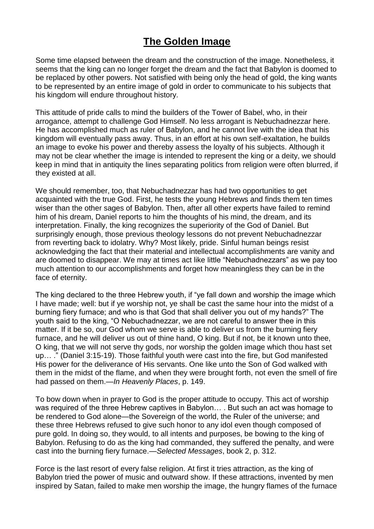## **The Golden Image**

Some time elapsed between the dream and the construction of the image. Nonetheless, it seems that the king can no longer forget the dream and the fact that Babylon is doomed to be replaced by other powers. Not satisfied with being only the head of gold, the king wants to be represented by an entire image of gold in order to communicate to his subjects that his kingdom will endure throughout history.

This attitude of pride calls to mind the builders of the Tower of Babel, who, in their arrogance, attempt to challenge God Himself. No less arrogant is Nebuchadnezzar here. He has accomplished much as ruler of Babylon, and he cannot live with the idea that his kingdom will eventually pass away. Thus, in an effort at his own self-exaltation, he builds an image to evoke his power and thereby assess the loyalty of his subjects. Although it may not be clear whether the image is intended to represent the king or a deity, we should keep in mind that in antiquity the lines separating politics from religion were often blurred, if they existed at all.

We should remember, too, that Nebuchadnezzar has had two opportunities to get acquainted with the true God. First, he tests the young Hebrews and finds them ten times wiser than the other sages of Babylon. Then, after all other experts have failed to remind him of his dream, Daniel reports to him the thoughts of his mind, the dream, and its interpretation. Finally, the king recognizes the superiority of the God of Daniel. But surprisingly enough, those previous theology lessons do not prevent Nebuchadnezzar from reverting back to idolatry. Why? Most likely, pride. Sinful human beings resist acknowledging the fact that their material and intellectual accomplishments are vanity and are doomed to disappear. We may at times act like little "Nebuchadnezzars" as we pay too much attention to our accomplishments and forget how meaningless they can be in the face of eternity.

The king declared to the three Hebrew youth, if "ye fall down and worship the image which I have made; well: but if ye worship not, ye shall be cast the same hour into the midst of a burning fiery furnace; and who is that God that shall deliver you out of my hands?" The youth said to the king, "O Nebuchadnezzar, we are not careful to answer thee in this matter. If it be so, our God whom we serve is able to deliver us from the burning fiery furnace, and he will deliver us out of thine hand, O king. But if not, be it known unto thee, O king, that we will not serve thy gods, nor worship the golden image which thou hast set up… ." (Daniel 3:15-19). Those faithful youth were cast into the fire, but God manifested His power for the deliverance of His servants. One like unto the Son of God walked with them in the midst of the flame, and when they were brought forth, not even the smell of fire had passed on them.—*In Heavenly Places*, p. 149.

To bow down when in prayer to God is the proper attitude to occupy. This act of worship was required of the three Hebrew captives in Babylon… . But such an act was homage to be rendered to God alone—the Sovereign of the world, the Ruler of the universe; and these three Hebrews refused to give such honor to any idol even though composed of pure gold. In doing so, they would, to all intents and purposes, be bowing to the king of Babylon. Refusing to do as the king had commanded, they suffered the penalty, and were cast into the burning fiery furnace.—*Selected Messages*, book 2, p. 312.

Force is the last resort of every false religion. At first it tries attraction, as the king of Babylon tried the power of music and outward show. If these attractions, invented by men inspired by Satan, failed to make men worship the image, the hungry flames of the furnace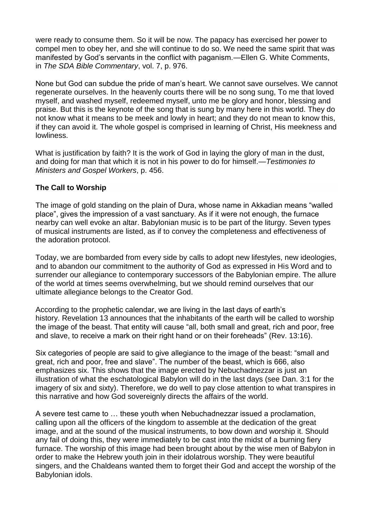were ready to consume them. So it will be now. The papacy has exercised her power to compel men to obey her, and she will continue to do so. We need the same spirit that was manifested by God's servants in the conflict with paganism.—Ellen G. White Comments, in *The SDA Bible Commentary*, vol. 7, p. 976.

None but God can subdue the pride of man's heart. We cannot save ourselves. We cannot regenerate ourselves. In the heavenly courts there will be no song sung, To me that loved myself, and washed myself, redeemed myself, unto me be glory and honor, blessing and praise. But this is the keynote of the song that is sung by many here in this world. They do not know what it means to be meek and lowly in heart; and they do not mean to know this, if they can avoid it. The whole gospel is comprised in learning of Christ, His meekness and lowliness.

What is justification by faith? It is the work of God in laying the glory of man in the dust, and doing for man that which it is not in his power to do for himself.—*Testimonies to Ministers and Gospel Workers*, p. 456.

#### **The Call to Worship**

The image of gold standing on the plain of Dura, whose name in Akkadian means "walled place", gives the impression of a vast sanctuary. As if it were not enough, the furnace nearby can well evoke an altar. Babylonian music is to be part of the liturgy. Seven types of musical instruments are listed, as if to convey the completeness and effectiveness of the adoration protocol.

Today, we are bombarded from every side by calls to adopt new lifestyles, new ideologies, and to abandon our commitment to the authority of God as expressed in His Word and to surrender our allegiance to contemporary successors of the Babylonian empire. The allure of the world at times seems overwhelming, but we should remind ourselves that our ultimate allegiance belongs to the Creator God.

According to the prophetic calendar, we are living in the last days of earth's history. Revelation 13 announces that the inhabitants of the earth will be called to worship the image of the beast. That entity will cause "all, both small and great, rich and poor, free and slave, to receive a mark on their right hand or on their foreheads" (Rev. 13:16).

Six categories of people are said to give allegiance to the image of the beast: "small and great, rich and poor, free and slave". The number of the beast, which is 666, also emphasizes six. This shows that the image erected by Nebuchadnezzar is just an illustration of what the eschatological Babylon will do in the last days (see Dan. 3:1 for the imagery of six and sixty). Therefore, we do well to pay close attention to what transpires in this narrative and how God sovereignly directs the affairs of the world.

A severe test came to … these youth when Nebuchadnezzar issued a proclamation, calling upon all the officers of the kingdom to assemble at the dedication of the great image, and at the sound of the musical instruments, to bow down and worship it. Should any fail of doing this, they were immediately to be cast into the midst of a burning fiery furnace. The worship of this image had been brought about by the wise men of Babylon in order to make the Hebrew youth join in their idolatrous worship. They were beautiful singers, and the Chaldeans wanted them to forget their God and accept the worship of the Babylonian idols.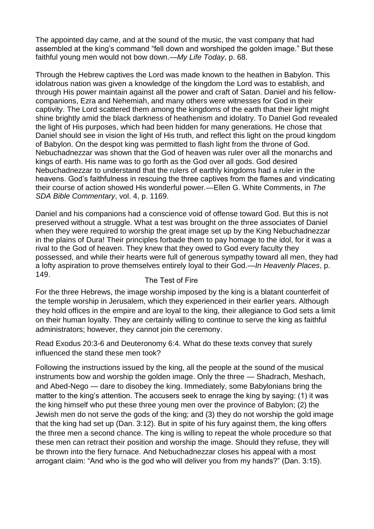The appointed day came, and at the sound of the music, the vast company that had assembled at the king's command "fell down and worshiped the golden image." But these faithful young men would not bow down.—*My Life Today*, p. 68.

Through the Hebrew captives the Lord was made known to the heathen in Babylon. This idolatrous nation was given a knowledge of the kingdom the Lord was to establish, and through His power maintain against all the power and craft of Satan. Daniel and his fellowcompanions, Ezra and Nehemiah, and many others were witnesses for God in their captivity. The Lord scattered them among the kingdoms of the earth that their light might shine brightly amid the black darkness of heathenism and idolatry. To Daniel God revealed the light of His purposes, which had been hidden for many generations. He chose that Daniel should see in vision the light of His truth, and reflect this light on the proud kingdom of Babylon. On the despot king was permitted to flash light from the throne of God. Nebuchadnezzar was shown that the God of heaven was ruler over all the monarchs and kings of earth. His name was to go forth as the God over all gods. God desired Nebuchadnezzar to understand that the rulers of earthly kingdoms had a ruler in the heavens. God's faithfulness in rescuing the three captives from the flames and vindicating their course of action showed His wonderful power.—Ellen G. White Comments, in *The SDA Bible Commentary*, vol. 4, p. 1169.

Daniel and his companions had a conscience void of offense toward God. But this is not preserved without a struggle. What a test was brought on the three associates of Daniel when they were required to worship the great image set up by the King Nebuchadnezzar in the plains of Dura! Their principles forbade them to pay homage to the idol, for it was a rival to the God of heaven. They knew that they owed to God every faculty they possessed, and while their hearts were full of generous sympathy toward all men, they had a lofty aspiration to prove themselves entirely loyal to their God.—*In Heavenly Places*, p. 149.

#### The Test of Fire

For the three Hebrews, the image worship imposed by the king is a blatant counterfeit of the temple worship in Jerusalem, which they experienced in their earlier years. Although they hold offices in the empire and are loyal to the king, their allegiance to God sets a limit on their human loyalty. They are certainly willing to continue to serve the king as faithful administrators; however, they cannot join the ceremony.

Read Exodus 20:3-6 and Deuteronomy 6:4. What do these texts convey that surely influenced the stand these men took?

Following the instructions issued by the king, all the people at the sound of the musical instruments bow and worship the golden image. Only the three — Shadrach, Meshach, and Abed-Nego — dare to disobey the king. Immediately, some Babylonians bring the matter to the king's attention. The accusers seek to enrage the king by saying: (1) it was the king himself who put these three young men over the province of Babylon; (2) the Jewish men do not serve the gods of the king; and (3) they do not worship the gold image that the king had set up (Dan. 3:12). But in spite of his fury against them, the king offers the three men a second chance. The king is willing to repeat the whole procedure so that these men can retract their position and worship the image. Should they refuse, they will be thrown into the fiery furnace. And Nebuchadnezzar closes his appeal with a most arrogant claim: "And who is the god who will deliver you from my hands?" (Dan. 3:15).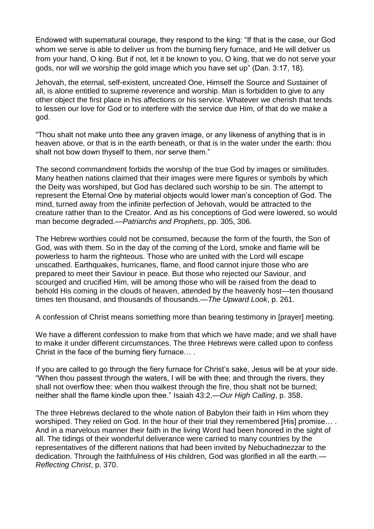Endowed with supernatural courage, they respond to the king: "If that is the case, our God whom we serve is able to deliver us from the burning fiery furnace, and He will deliver us from your hand, O king. But if not, let it be known to you, O king, that we do not serve your gods, nor will we worship the gold image which you have set up" (Dan. 3:17, 18).

Jehovah, the eternal, self-existent, uncreated One, Himself the Source and Sustainer of all, is alone entitled to supreme reverence and worship. Man is forbidden to give to any other object the first place in his affections or his service. Whatever we cherish that tends to lessen our love for God or to interfere with the service due Him, of that do we make a god.

"Thou shalt not make unto thee any graven image, or any likeness of anything that is in heaven above, or that is in the earth beneath, or that is in the water under the earth: thou shalt not bow down thyself to them, nor serve them."

The second commandment forbids the worship of the true God by images or similitudes. Many heathen nations claimed that their images were mere figures or symbols by which the Deity was worshiped, but God has declared such worship to be sin. The attempt to represent the Eternal One by material objects would lower man's conception of God. The mind, turned away from the infinite perfection of Jehovah, would be attracted to the creature rather than to the Creator. And as his conceptions of God were lowered, so would man become degraded.—*Patriarchs and Prophets*, pp. 305, 306.

The Hebrew worthies could not be consumed, because the form of the fourth, the Son of God, was with them. So in the day of the coming of the Lord, smoke and flame will be powerless to harm the righteous. Those who are united with the Lord will escape unscathed. Earthquakes, hurricanes, flame, and flood cannot injure those who are prepared to meet their Saviour in peace. But those who rejected our Saviour, and scourged and crucified Him, will be among those who will be raised from the dead to behold His coming in the clouds of heaven, attended by the heavenly host—ten thousand times ten thousand, and thousands of thousands.—*The Upward Look*, p. 261.

A confession of Christ means something more than bearing testimony in [prayer] meeting.

We have a different confession to make from that which we have made; and we shall have to make it under different circumstances. The three Hebrews were called upon to confess Christ in the face of the burning fiery furnace… .

If you are called to go through the fiery furnace for Christ's sake, Jesus will be at your side. "When thou passest through the waters, I will be with thee; and through the rivers, they shall not overflow thee: when thou walkest through the fire, thou shalt not be burned; neither shall the flame kindle upon thee." Isaiah 43:2.—*Our High Calling*, p. 358.

The three Hebrews declared to the whole nation of Babylon their faith in Him whom they worshiped. They relied on God. In the hour of their trial they remembered [His] promise… . And in a marvelous manner their faith in the living Word had been honored in the sight of all. The tidings of their wonderful deliverance were carried to many countries by the representatives of the different nations that had been invited by Nebuchadnezzar to the dedication. Through the faithfulness of His children, God was glorified in all the earth.— *Reflecting Christ*, p. 370.